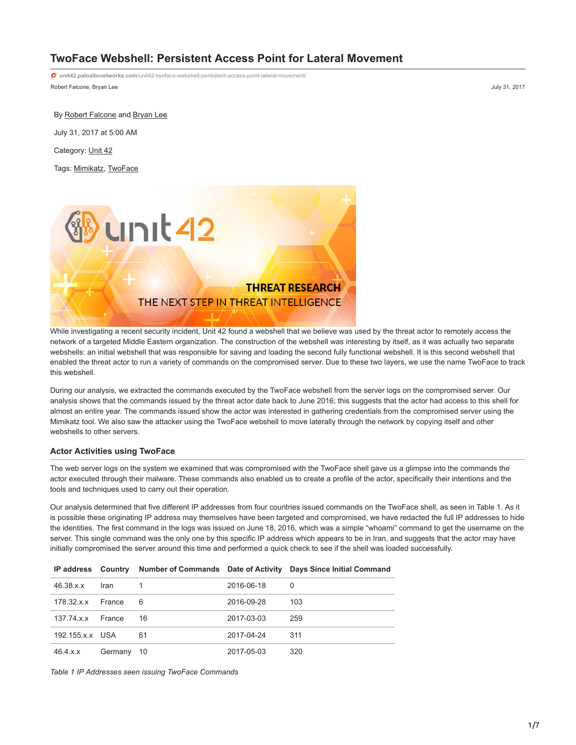# **TwoFace Webshell: Persistent Access Point for Lateral Movement**

Robert Falcone, Bryan Lee July 31, 2017 **unit42.paloaltonetworks.com**[/unit42-twoface-webshell-persistent-access-point-lateral-movement/](https://unit42.paloaltonetworks.com/unit42-twoface-webshell-persistent-access-point-lateral-movement/)

By [Robert Falcone](https://unit42.paloaltonetworks.com/author/robertfalcone/) and [Bryan Lee](https://unit42.paloaltonetworks.com/author/bryanlee/) July 31, 2017 at 5:00 AM

Category: [Unit 42](https://unit42.paloaltonetworks.com/category/unit42/)

Tags: [Mimikatz](https://unit42.paloaltonetworks.com/tag/mimikatz/), [TwoFace](https://unit42.paloaltonetworks.com/tag/twoface/)



While investigating a recent security incident, Unit 42 found a webshell that we believe was used by the threat actor to remotely access the network of a targeted Middle Eastern organization. The construction of the webshell was interesting by itself, as it was actually two separate webshells: an initial webshell that was responsible for saving and loading the second fully functional webshell. It is this second webshell that enabled the threat actor to run a variety of commands on the compromised server. Due to these two layers, we use the name TwoFace to track this webshell.

During our analysis, we extracted the commands executed by the TwoFace webshell from the server logs on the compromised server. Our analysis shows that the commands issued by the threat actor date back to June 2016; this suggests that the actor had access to this shell for almost an entire year. The commands issued show the actor was interested in gathering credentials from the compromised server using the Mimikatz tool. We also saw the attacker using the TwoFace webshell to move laterally through the network by copying itself and other webshells to other servers.

### **Actor Activities using TwoFace**

The web server logs on the system we examined that was compromised with the TwoFace shell gave us a glimpse into the commands the actor executed through their malware. These commands also enabled us to create a profile of the actor, specifically their intentions and the tools and techniques used to carry out their operation.

Our analysis determined that five different IP addresses from four countries issued commands on the TwoFace shell, as seen in Table 1. As it is possible these originating IP address may themselves have been targeted and compromised, we have redacted the full IP addresses to hide the identities. The first command in the logs was issued on June 18, 2016, which was a simple "whoami" command to get the username on the server. This single command was the only one by this specific IP address which appears to be in Iran, and suggests that the actor may have initially compromised the server around this time and performed a quick check to see if the shell was loaded successfully.

|                     |         |      |            | IP address Country Number of Commands Date of Activity Days Since Initial Command |
|---------------------|---------|------|------------|-----------------------------------------------------------------------------------|
| 46.38.x.x           | Iran    |      | 2016-06-18 | 0                                                                                 |
| $178.32.x.x$ France |         | 6    | 2016-09-28 | 103                                                                               |
| 137.74 x x          | France  | 16   | 2017-03-03 | 259                                                                               |
| 192.155.x.x USA     |         | 61   | 2017-04-24 | -311                                                                              |
| 46.4.x.x            | Germany | - 10 | 2017-05-03 | 320                                                                               |

*Table 1 IP Addresses seen issuing TwoFace Commands*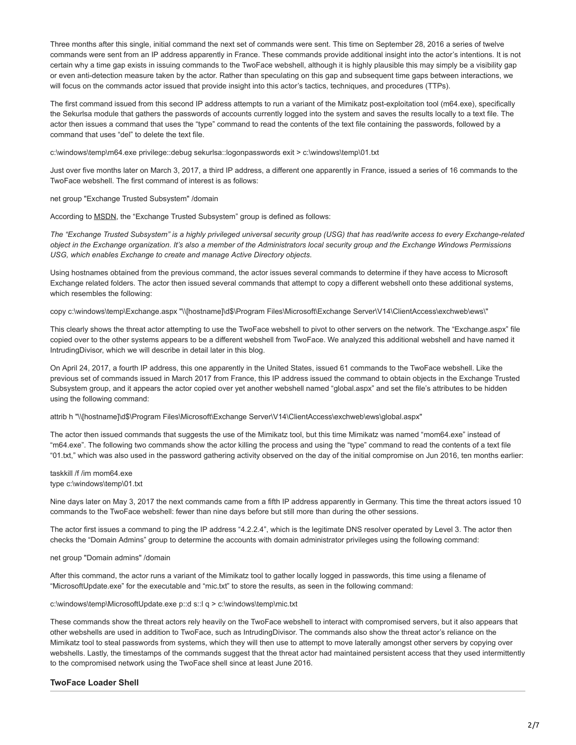Three months after this single, initial command the next set of commands were sent. This time on September 28, 2016 a series of twelve commands were sent from an IP address apparently in France. These commands provide additional insight into the actor's intentions. It is not certain why a time gap exists in issuing commands to the TwoFace webshell, although it is highly plausible this may simply be a visibility gap or even anti-detection measure taken by the actor. Rather than speculating on this gap and subsequent time gaps between interactions, we will focus on the commands actor issued that provide insight into this actor's tactics, techniques, and procedures (TTPs).

The first command issued from this second IP address attempts to run a variant of the Mimikatz post-exploitation tool (m64.exe), specifically the Sekurlsa module that gathers the passwords of accounts currently logged into the system and saves the results locally to a text file. The actor then issues a command that uses the "type" command to read the contents of the text file containing the passwords, followed by a command that uses "del" to delete the text file.

c:\windows\temp\m64.exe privilege::debug sekurlsa::logonpasswords exit > c:\windows\temp\01.txt

Just over five months later on March 3, 2017, a third IP address, a different one apparently in France, issued a series of 16 commands to the TwoFace webshell. The first command of interest is as follows:

net group "Exchange Trusted Subsystem" /domain

According to **[MSDN](https://technet.microsoft.com/en-us/library/dd638106%28v=exchg.150%29.aspx?f=255&MSPPError=-2147217396)**, the "Exchange Trusted Subsystem" group is defined as follows:

*The "Exchange Trusted Subsystem" is a highly privileged universal security group (USG) that has read/write access to every Exchange-related object in the Exchange organization. It's also a member of the Administrators local security group and the Exchange Windows Permissions USG, which enables Exchange to create and manage Active Directory objects.*

Using hostnames obtained from the previous command, the actor issues several commands to determine if they have access to Microsoft Exchange related folders. The actor then issued several commands that attempt to copy a different webshell onto these additional systems, which resembles the following:

copy c:\windows\temp\Exchange.aspx "\\[hostname]\d\$\Program Files\Microsoft\Exchange Server\V14\ClientAccess\exchweb\ews\"

This clearly shows the threat actor attempting to use the TwoFace webshell to pivot to other servers on the network. The "Exchange.aspx" file copied over to the other systems appears to be a different webshell from TwoFace. We analyzed this additional webshell and have named it IntrudingDivisor, which we will describe in detail later in this blog.

On April 24, 2017, a fourth IP address, this one apparently in the United States, issued 61 commands to the TwoFace webshell. Like the previous set of commands issued in March 2017 from France, this IP address issued the command to obtain objects in the Exchange Trusted Subsystem group, and it appears the actor copied over yet another webshell named "global.aspx" and set the file's attributes to be hidden using the following command:

attrib h "\\[hostname]\d\$\Program Files\Microsoft\Exchange Server\V14\ClientAccess\exchweb\ews\global.aspx"

The actor then issued commands that suggests the use of the Mimikatz tool, but this time Mimikatz was named "mom64.exe" instead of "m64.exe". The following two commands show the actor killing the process and using the "type" command to read the contents of a text file "01.txt," which was also used in the password gathering activity observed on the day of the initial compromise on Jun 2016, ten months earlier:

taskkill /f /im mom64.exe type c:\windows\temp\01.txt

Nine days later on May 3, 2017 the next commands came from a fifth IP address apparently in Germany. This time the threat actors issued 10 commands to the TwoFace webshell: fewer than nine days before but still more than during the other sessions.

The actor first issues a command to ping the IP address "4.2.2.4", which is the legitimate DNS resolver operated by Level 3. The actor then checks the "Domain Admins" group to determine the accounts with domain administrator privileges using the following command:

net group "Domain admins" /domain

After this command, the actor runs a variant of the Mimikatz tool to gather locally logged in passwords, this time using a filename of "MicrosoftUpdate.exe" for the executable and "mic.txt" to store the results, as seen in the following command:

c:\windows\temp\MicrosoftUpdate.exe p::d s::l q > c:\windows\temp\mic.txt

These commands show the threat actors rely heavily on the TwoFace webshell to interact with compromised servers, but it also appears that other webshells are used in addition to TwoFace, such as IntrudingDivisor. The commands also show the threat actor's reliance on the Mimikatz tool to steal passwords from systems, which they will then use to attempt to move laterally amongst other servers by copying over webshells. Lastly, the timestamps of the commands suggest that the threat actor had maintained persistent access that they used intermittently to the compromised network using the TwoFace shell since at least June 2016.

## **TwoFace Loader Shell**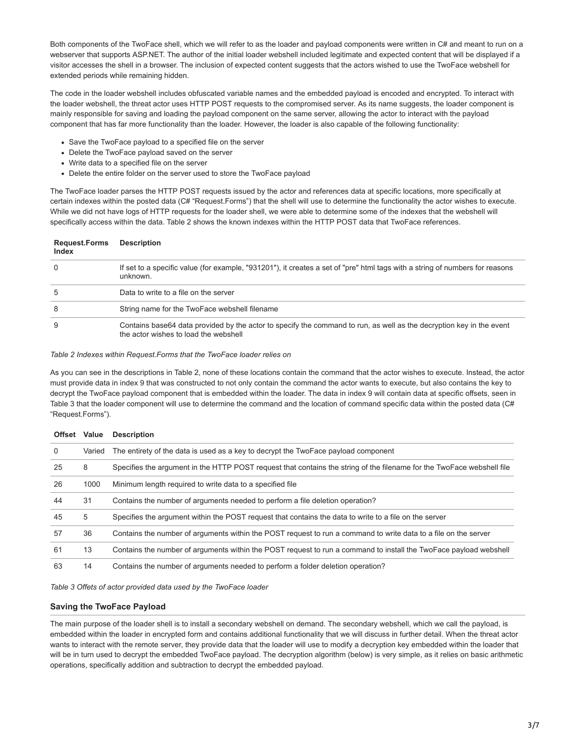Both components of the TwoFace shell, which we will refer to as the loader and payload components were written in C# and meant to run on a webserver that supports ASP.NET. The author of the initial loader webshell included legitimate and expected content that will be displayed if a visitor accesses the shell in a browser. The inclusion of expected content suggests that the actors wished to use the TwoFace webshell for extended periods while remaining hidden.

The code in the loader webshell includes obfuscated variable names and the embedded payload is encoded and encrypted. To interact with the loader webshell, the threat actor uses HTTP POST requests to the compromised server. As its name suggests, the loader component is mainly responsible for saving and loading the payload component on the same server, allowing the actor to interact with the payload component that has far more functionality than the loader. However, the loader is also capable of the following functionality:

- Save the TwoFace payload to a specified file on the server
- Delete the TwoFace payload saved on the server
- Write data to a specified file on the server
- Delete the entire folder on the server used to store the TwoFace payload

The TwoFace loader parses the HTTP POST requests issued by the actor and references data at specific locations, more specifically at certain indexes within the posted data (C# "Request.Forms") that the shell will use to determine the functionality the actor wishes to execute. While we did not have logs of HTTP requests for the loader shell, we were able to determine some of the indexes that the webshell will specifically access within the data. Table 2 shows the known indexes within the HTTP POST data that TwoFace references.

| <b>Request.Forms</b><br><b>Index</b> | <b>Description</b>                                                                                                                                            |
|--------------------------------------|---------------------------------------------------------------------------------------------------------------------------------------------------------------|
| $\Omega$                             | If set to a specific value (for example, "931201"), it creates a set of "pre" html tags with a string of numbers for reasons<br>unknown.                      |
| 5                                    | Data to write to a file on the server                                                                                                                         |
| 8                                    | String name for the TwoFace webshell filename                                                                                                                 |
| 9                                    | Contains base64 data provided by the actor to specify the command to run, as well as the decryption key in the event<br>the actor wishes to load the webshell |

### *Table 2 Indexes within Request.Forms that the TwoFace loader relies on*

As you can see in the descriptions in Table 2, none of these locations contain the command that the actor wishes to execute. Instead, the actor must provide data in index 9 that was constructed to not only contain the command the actor wants to execute, but also contains the key to decrypt the TwoFace payload component that is embedded within the loader. The data in index 9 will contain data at specific offsets, seen in Table 3 that the loader component will use to determine the command and the location of command specific data within the posted data (C# "Request.Forms").

| <b>Offset</b> | Value  | <b>Description</b>                                                                                                     |
|---------------|--------|------------------------------------------------------------------------------------------------------------------------|
| $\Omega$      | Varied | The entirety of the data is used as a key to decrypt the TwoFace payload component                                     |
| 25            | 8      | Specifies the argument in the HTTP POST request that contains the string of the filename for the TwoFace webshell file |
| 26            | 1000   | Minimum length required to write data to a specified file                                                              |
| 44            | 31     | Contains the number of arguments needed to perform a file deletion operation?                                          |
| 45            | 5      | Specifies the argument within the POST reguest that contains the data to write to a file on the server                 |
| 57            | 36     | Contains the number of arguments within the POST request to run a command to write data to a file on the server        |
| 61            | 13     | Contains the number of arguments within the POST request to run a command to install the TwoFace payload webshell      |
| 63            | 14     | Contains the number of arguments needed to perform a folder deletion operation?                                        |

*Table 3 Offets of actor provided data used by the TwoFace loader*

## **Saving the TwoFace Payload**

The main purpose of the loader shell is to install a secondary webshell on demand. The secondary webshell, which we call the payload, is embedded within the loader in encrypted form and contains additional functionality that we will discuss in further detail. When the threat actor wants to interact with the remote server, they provide data that the loader will use to modify a decryption key embedded within the loader that will be in turn used to decrypt the embedded TwoFace payload. The decryption algorithm (below) is very simple, as it relies on basic arithmetic operations, specifically addition and subtraction to decrypt the embedded payload.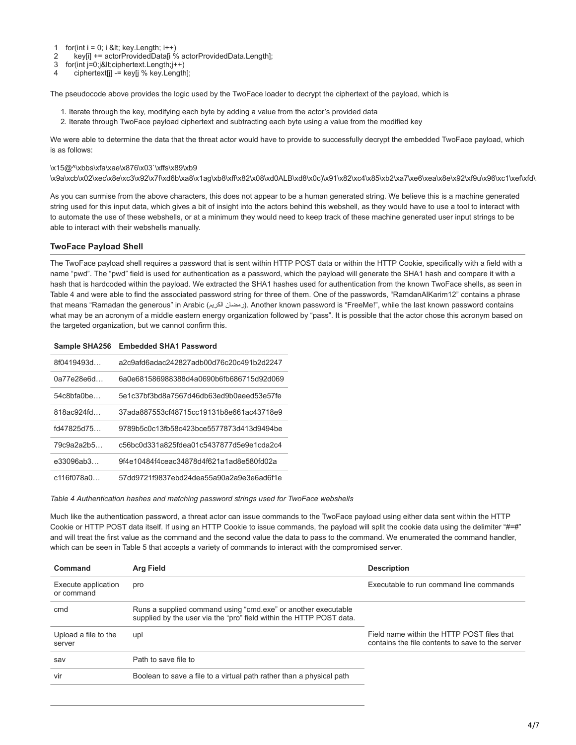- 1 for(int  $i = 0$ ; i &It; key.Length;  $i++$ )
- $\mathfrak{p}$ key[i] += actorProvidedData[i % actorProvidedData.Length];
- 3  $for(int i=0; j$
- $\overline{A}$ ciphertext[j] -= key[j % key.Length];

The pseudocode above provides the logic used by the TwoFace loader to decrypt the ciphertext of the payload, which is

- 1. Iterate through the key, modifying each byte by adding a value from the actor's provided data
- 2. Iterate through TwoFace payload ciphertext and subtracting each byte using a value from the modified key

We were able to determine the data that the threat actor would have to provide to successfully decrypt the embedded TwoFace payload, which is as follows:

#### \x15@^\xbbs\xfa\xae\x876\x03`\xffs\x89\xb9

\x9a\xcb\x02\xec\x8e\xc3\x92\x7f\xd6b\xa8\x1ag\xb8\xff\x82\x08\xd0ALB\xd8\x0c)\x91\x82\xc4\x85\xb2\xa7\xe6\xea\x8e\x92\xf9u\x96\xc1\xef\xfd\x

As you can surmise from the above characters, this does not appear to be a human generated string. We believe this is a machine generated string used for this input data, which gives a bit of insight into the actors behind this webshell, as they would have to use a tool to interact with to automate the use of these webshells, or at a minimum they would need to keep track of these machine generated user input strings to be able to interact with their webshells manually.

### **TwoFace Payload Shell**

The TwoFace payload shell requires a password that is sent within HTTP POST data or within the HTTP Cookie, specifically with a field with a name "pwd". The "pwd" field is used for authentication as a password, which the payload will generate the SHA1 hash and compare it with a hash that is hardcoded within the payload. We extracted the SHA1 hashes used for authentication from the known TwoFace shells, as seen in Table 4 and were able to find the associated password string for three of them. One of the passwords, "RamdanAlKarim12" contains a phrase that means "Ramadan the generous" in Arabic (المضان الكريم). Another known password is "FreeMe!", while the last known password contains what may be an acronym of a middle eastern energy organization followed by "pass". It is possible that the actor chose this acronym based on the targeted organization, but we cannot confirm this.

| Sample SHA256 | <b>Embedded SHA1 Password</b>            |
|---------------|------------------------------------------|
| 8f0419493d    | a2c9afd6adac242827adb00d76c20c491b2d2247 |
| 0a77e28e6d    | 6a0e681586988388d4a0690b6fb686715d92d069 |
| 54c8bfa0be    | 5e1c37bf3bd8a7567d46db63ed9b0aeed53e57fe |
| 818ac924fd    | 37ada887553cf48715cc19131b8e661ac43718e9 |
| fd47825d75    | 9789b5c0c13fb58c423bce5577873d413d9494be |
| 79c9a2a2b5    | c56bc0d331a825fdea01c5437877d5e9e1cda2c4 |
| e33096ab3     | 9f4e10484f4ceac34878d4f621a1ad8e580fd02a |
| c116f078a0    | 57dd9721f9837ebd24dea55a90a2a9e3e6ad6f1e |

#### *Table 4 Authentication hashes and matching password strings used for TwoFace webshells*

Much like the authentication password, a threat actor can issue commands to the TwoFace payload using either data sent within the HTTP Cookie or HTTP POST data itself. If using an HTTP Cookie to issue commands, the payload will split the cookie data using the delimiter "#=#" and will treat the first value as the command and the second value the data to pass to the command. We enumerated the command handler, which can be seen in Table 5 that accepts a variety of commands to interact with the compromised server.

| Command                           | Arg Field                                                                                                                            | <b>Description</b>                                                                             |
|-----------------------------------|--------------------------------------------------------------------------------------------------------------------------------------|------------------------------------------------------------------------------------------------|
| Execute application<br>or command | pro                                                                                                                                  | Executable to run command line commands                                                        |
| cmd                               | Runs a supplied command using "cmd.exe" or another executable<br>supplied by the user via the "pro" field within the HTTP POST data. |                                                                                                |
| Upload a file to the<br>server    | upl                                                                                                                                  | Field name within the HTTP POST files that<br>contains the file contents to save to the server |
| sav                               | Path to save file to                                                                                                                 |                                                                                                |
| vir                               | Boolean to save a file to a virtual path rather than a physical path                                                                 |                                                                                                |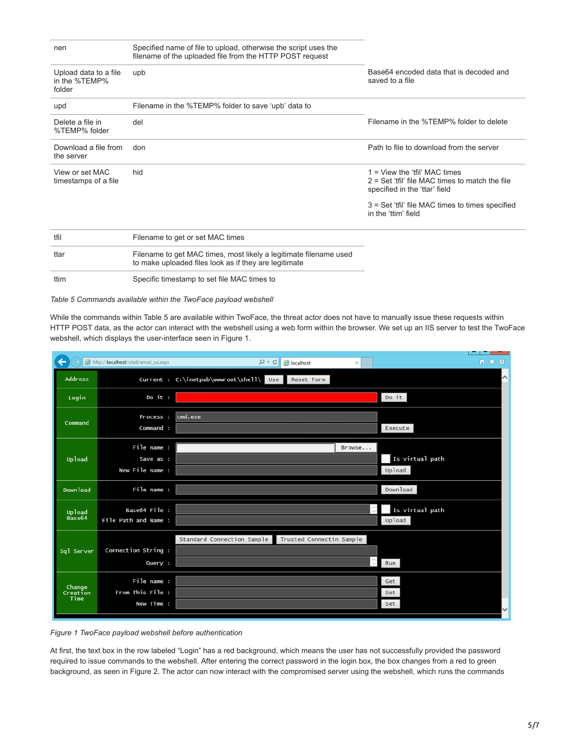| nen                                              | Specified name of file to upload, otherwise the script uses the<br>filename of the uploaded file from the HTTP POST request |                                                                                                                     |
|--------------------------------------------------|-----------------------------------------------------------------------------------------------------------------------------|---------------------------------------------------------------------------------------------------------------------|
| Upload data to a file<br>in the %TEMP%<br>folder | upb                                                                                                                         | Base64 encoded data that is decoded and<br>saved to a file                                                          |
| upd                                              | Filename in the %TEMP% folder to save 'upb' data to                                                                         |                                                                                                                     |
| Delete a file in<br>%TEMP% folder                | del                                                                                                                         | Filename in the %TEMP% folder to delete                                                                             |
| Download a file from<br>the server               | don                                                                                                                         | Path to file to download from the server                                                                            |
| View or set MAC<br>timestamps of a file          | hid                                                                                                                         | 1 = View the 'tfil' MAC times<br>$2 = Set 'tfil' file MAC times to match the file$<br>specified in the 'ttar' field |
|                                                  |                                                                                                                             | 3 = Set 'tfil' file MAC times to times specified<br>in the 'ttim' field                                             |
| tfil                                             | Filename to get or set MAC times                                                                                            |                                                                                                                     |
| ttar                                             | Filename to get MAC times, most likely a legitimate filename used<br>to make uploaded files look as if they are legitimate  |                                                                                                                     |
| ttim                                             | Specific timestamp to set file MAC times to                                                                                 |                                                                                                                     |

*Table 5 Commands available within the TwoFace payload webshell*

While the commands within Table 5 are available within TwoFace, the threat actor does not have to manually issue these requests within HTTP POST data, as the actor can interact with the webshell using a web form within the browser. We set up an IIS server to test the TwoFace webshell, which displays the user-interface seen in Figure 1.

|                            | A http:// <b>localhost</b> /shell/email_us.aspx | $D - C$<br>localhost<br>×                                  | 俞 ★ 微        |
|----------------------------|-------------------------------------------------|------------------------------------------------------------|--------------|
| <b>Address</b>             |                                                 | Current : C:\inetpub\wwwroot\shell\ Use<br>Reset Form      | $\wedge$     |
| Login                      | Do it :                                         | Do it                                                      |              |
| Command                    | Process :<br>Command :                          | cmd.exe<br>Execute                                         |              |
| Upload                     | File name :<br>Save as :<br>New File name :     | Browse<br>Is virtual path<br>Upload                        |              |
| Download                   | File name :                                     | Download                                                   |              |
| Upload<br>Base64           | Base64 File :<br>File Path and Name :           | Is virtual path<br>Upload                                  |              |
| Sql Server                 | Connection String :<br>Query :                  | Standard Connection Sample Trusted Connectin Sample<br>Run |              |
| Change<br>Creation<br>Time | File name :<br>From This File :<br>New Time :   | Get<br>Set<br>Set                                          | $\checkmark$ |

*Figure 1 TwoFace payload webshell before authentication*

At first, the text box in the row labeled "Login" has a red background, which means the user has not successfully provided the password required to issue commands to the webshell. After entering the correct password in the login box, the box changes from a red to green background, as seen in Figure 2. The actor can now interact with the compromised server using the webshell, which runs the commands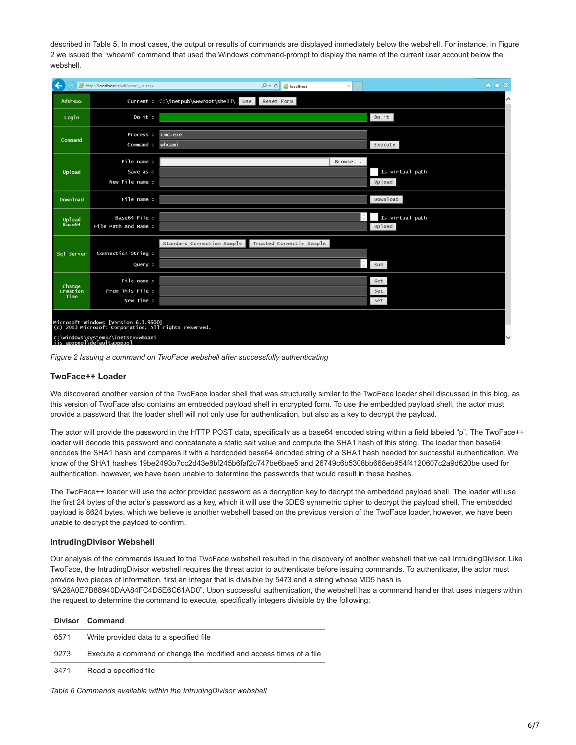described in Table 5. In most cases, the output or results of commands are displayed immediately below the webshell. For instance, in Figure 2 we issued the "whoami" command that used the Windows command-prompt to display the name of the current user account below the webshell.

| ←<br>http:// <b>localhost</b> /shell/email_us.aspx                                                                                                               |                                               | $Q - C$<br>localhost                                   | $\times$ | 合大意                       |
|------------------------------------------------------------------------------------------------------------------------------------------------------------------|-----------------------------------------------|--------------------------------------------------------|----------|---------------------------|
| <b>Address</b>                                                                                                                                                   |                                               | Current : C:\inetpub\wwwroot\shell\ Use<br>Reset Form  |          |                           |
| Login                                                                                                                                                            | Do it :                                       |                                                        |          | Do it                     |
| Command                                                                                                                                                          | Process :<br>Command :                        | cmd.exe<br>whoami                                      |          | Execute                   |
| Upload                                                                                                                                                           | File name :<br>Save as :<br>New File name :   |                                                        | Browse   | Is virtual path<br>Upload |
| <b>Download</b>                                                                                                                                                  | File name :                                   |                                                        |          | Download                  |
| Upload<br>Base64                                                                                                                                                 | Base64 File :<br>File Path and Name :         |                                                        |          | Is virtual path<br>Upload |
| Sql Server                                                                                                                                                       | Connection String :<br>Query :                | Standard Connection Sample<br>Trusted Connectin Sample |          | Run                       |
| Change<br>Creation<br>Time                                                                                                                                       | File name :<br>From This File :<br>New Time : |                                                        |          | Get<br>Set<br>Set         |
| Microsoft Windows [Version 6.3.9600]<br>(c) 2013 Microsoft Corporation. All rights reserved.<br>c:\windows\system32\inetsrv>whoami<br>iis apppool\defaultapppool |                                               |                                                        |          |                           |

*Figure 2 Issuing a command on TwoFace webshell after successfully authenticating*

## **TwoFace++ Loader**

We discovered another version of the TwoFace loader shell that was structurally similar to the TwoFace loader shell discussed in this blog, as this version of TwoFace also contains an embedded payload shell in encrypted form. To use the embedded payload shell, the actor must provide a password that the loader shell will not only use for authentication, but also as a key to decrypt the payload.

The actor will provide the password in the HTTP POST data, specifically as a base64 encoded string within a field labeled "p". The TwoFace++ loader will decode this password and concatenate a static salt value and compute the SHA1 hash of this string. The loader then base64 encodes the SHA1 hash and compares it with a hardcoded base64 encoded string of a SHA1 hash needed for successful authentication. We know of the SHA1 hashes 19be2493b7cc2d43e8bf245b6faf2c747be6bae5 and 26749c6b5308bb668eb954f4120607c2a9d620be used for authentication, however, we have been unable to determine the passwords that would result in these hashes.

The TwoFace++ loader will use the actor provided password as a decryption key to decrypt the embedded payload shell. The loader will use the first 24 bytes of the actor's password as a key, which it will use the 3DES symmetric cipher to decrypt the payload shell. The embedded payload is 8624 bytes, which we believe is another webshell based on the previous version of the TwoFace loader, however, we have been unable to decrypt the payload to confirm.

### **IntrudingDivisor Webshell**

Our analysis of the commands issued to the TwoFace webshell resulted in the discovery of another webshell that we call IntrudingDivisor. Like TwoFace, the IntrudingDivisor webshell requires the threat actor to authenticate before issuing commands. To authenticate, the actor must provide two pieces of information, first an integer that is divisible by 5473 and a string whose MD5 hash is

"9A26A0E7B88940DAA84FC4D5E6C61AD0". Upon successful authentication, the webshell has a command handler that uses integers within the request to determine the command to execute, specifically integers divisible by the following:

|      | Divisor Command                                                     |
|------|---------------------------------------------------------------------|
| 6571 | Write provided data to a specified file                             |
| 9273 | Execute a command or change the modified and access times of a file |
| 3471 | Read a specified file                                               |

*Table 6 Commands available within the IntrudingDivisor webshell*